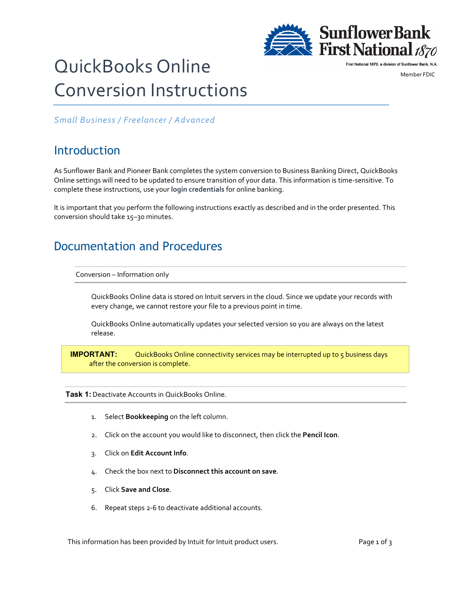

# QuickBooks Online Conversion Instructions

First National 1870, a division of Sunflower Bank, N.A. Member FDIC

*Small Business / Freelancer / Advanced*

## Introduction

As Sunflower Bank and Pioneer Bank completes the system conversion to Business Banking Direct*,* QuickBooks Online settings will need to be updated to ensure transition of your data. This information is time-sensitive. To complete these instructions, use your **login credentials** for online banking.

It is important that you perform the following instructions exactly as described and in the order presented. This conversion should take 15–30 minutes.

## Documentation and Procedures

Conversion – Information only

QuickBooks Online data is stored on Intuit servers in the cloud. Since we update your records with every change, we cannot restore your file to a previous point in time.

QuickBooks Online automatically updates your selected version so you are always on the latest release.

**IMPORTANT:** QuickBooks Online connectivity services may be interrupted up to 5 business days after the conversion is complete.

**Task 1:** Deactivate Accounts in QuickBooks Online.

- 1. Select **Bookkeeping** on the left column.
- 2. Click on the account you would like to disconnect, then click the **Pencil Icon**.
- 3. Click on **Edit Account Info**.
- 4. Check the box next to **Disconnect this account on save**.
- 5. Click **Save and Close**.
- 6. Repeat steps 2-6 to deactivate additional accounts.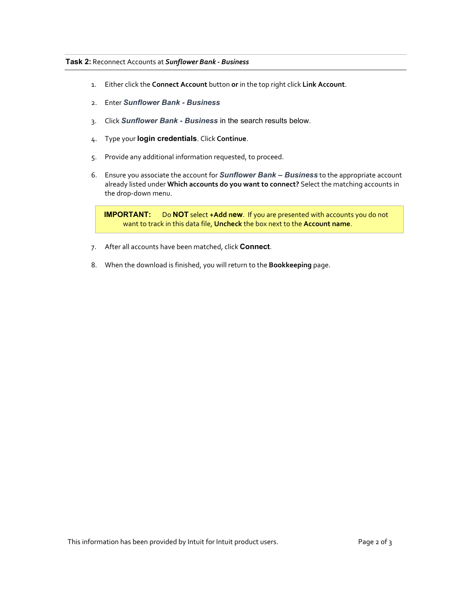#### **Task 2:** Reconnect Accounts at *Sunflower Bank - Business*

- 1. Either click the **Connect Account** button **or** in the top right click **Link Account**.
- 2. Enter *Sunflower Bank - Business*
- 3. Click *Sunflower Bank - Business* in the search results below.
- 4. Type your **login credentials**. Click **Continue**.
- 5. Provide any additional information requested, to proceed.
- 6. Ensure you associate the account for *Sunflower Bank – Business* to the appropriate account already listed under **Which accounts do you want to connect?** Select the matching accounts in the drop-down menu.

**IMPORTANT:** Do **NOT** select **+Add new**. If you are presented with accounts you do not want to track in this data file, **Uncheck** the box next to the **Account name**.

- 7. After all accounts have been matched, click **Connect**.
- 8. When the download is finished, you will return to the **Bookkeeping** page.